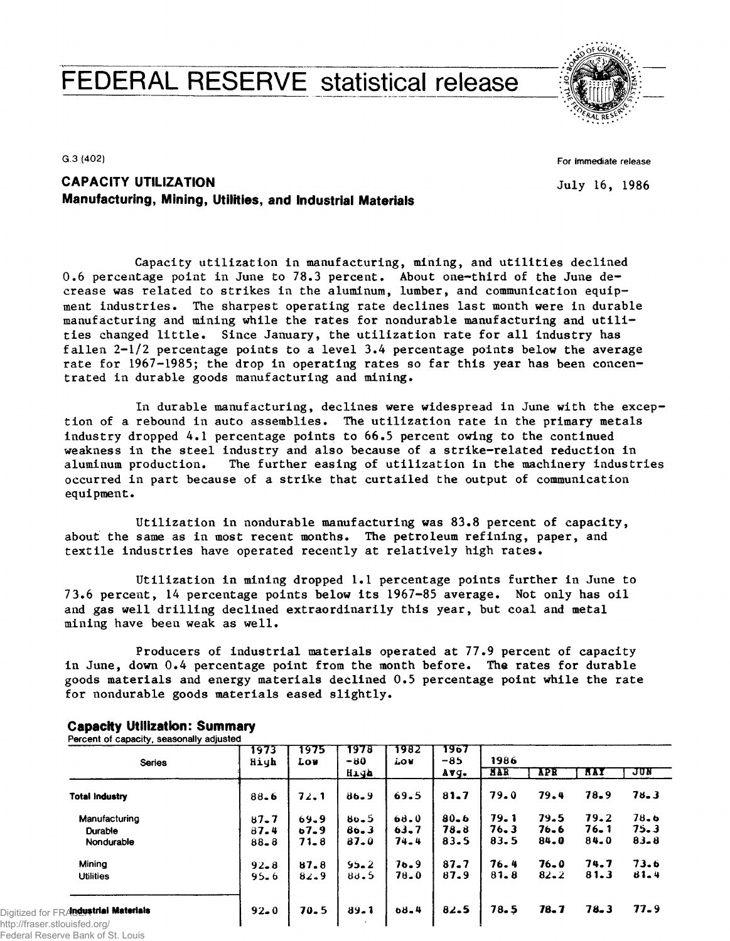# FEDERAL RESERVE statistical release



G.3 (402)

For Immediate release

July 16, 1986

## **CAPACITY UTILIZATION Manufacturing, Mining, Utilities, and Industrial Materials**

**Capacity utilization in manufacturing, mining, and utilities declined 0.6 percentage point in June to 78,3 percent. About one-third of the June decrease was related to strikes in the aluminum, lumber, and communication equipment industries. The sharpest operating rate declines last month were in durable manufacturing and mining while the rates for nondurable manufacturing and utilities changed little. Since January, the utilization rate for all industry has fallen 2-1/2 percentage points to a level 3.4 percentage points below the average rate for 1967-1985; the drop in operating rates so far this year has been concentrated in durable goods manufacturing and mining.**

**In durable manufacturing, declines were widespread in June with the exception of a rebound in auto assemblies. The utilization rate in the primary metals industry dropped 4.1 percentage points to 66.5 percent owing to the continued weakness in the steel industry and also because of a strike-related reduction in aluminum production. The further easing of utilization in the machinery industries occurred in part because of a strike that curtailed the output of communication equipment.**

**Utilization in nondurable manufacturing was 83.8 percent of capacity, about the same as in most recent months. The petroleum refining, paper, and textile industries have operated recently at relatively high rates.**

**Utilization in mining dropped 1.1 percentage points further in June to 7 3.6 percent, 14 percentage points below its 1967-85 average. Not only has oil and gas well drilling declined extraordinarily this year, but coal and metal mining have been weak as well.**

**Producers of industrial materials operated at 77.9 percent of capacity in June, down 0.4 percentage point from the month before. The rates for durable goods materials and energy materials declined 0.5 percentage point while the rate for nondurable goods materials eased slightly.**

| 1973     | 1975   | 1978<br>$-80$ | 1982<br>low | 1967<br>$-85$ | 1986       |            |            |          |  |  |  |
|----------|--------|---------------|-------------|---------------|------------|------------|------------|----------|--|--|--|
|          |        | High          |             | Avg.          | <b>NAR</b> | <b>APR</b> | <b>HAY</b> | JUN      |  |  |  |
| $88 - 6$ | 72.1   | $86 - 9$      | 69.5        | 81.7          | 79.0       | 79.4       | 78.9       | 78.3     |  |  |  |
| $87 - 7$ | 69.9   | $80 - 5$      | 68.0        | $80 - 6$      | 79.1       | 79.5       | 79.2       | 78.6     |  |  |  |
| 87.4     | $67-9$ | $80 - 3$      | $63 - 7$    | 78.8          | 76, 3      | 76.6       | $76 - 1$   | 75.3     |  |  |  |
| $88 - 8$ | 71.8   | $87 - 0$      | $74 - 4$    | $83 - 5$      | 83.5       | 84.0       | 84.0       | $83 - 8$ |  |  |  |
| $92 - 8$ | 87.8   | $95 - 2$      | 76.9        | 87.7          | 76.4       | $76 - 0$   | 74.7       | 73.6     |  |  |  |
| $95 - 6$ | 82.9   | 88.5          | $78 - 0$    | 87.9          | $81 - 8$   | $82 - 2$   | 81.3       | 61.4     |  |  |  |
| $92 - 0$ | 70.5   | $89 - 1$      | $68 - 4$    | 82.5          | 78.5       | 78.7       | $78 - 3$   | 77.9     |  |  |  |
|          | Hiyh   | Low           |             |               |            |            |            |          |  |  |  |

#### **Capacity Utilization: Summary** Percent of capacity, seasonally adjusted

Federal Reserve Bank of St. Louis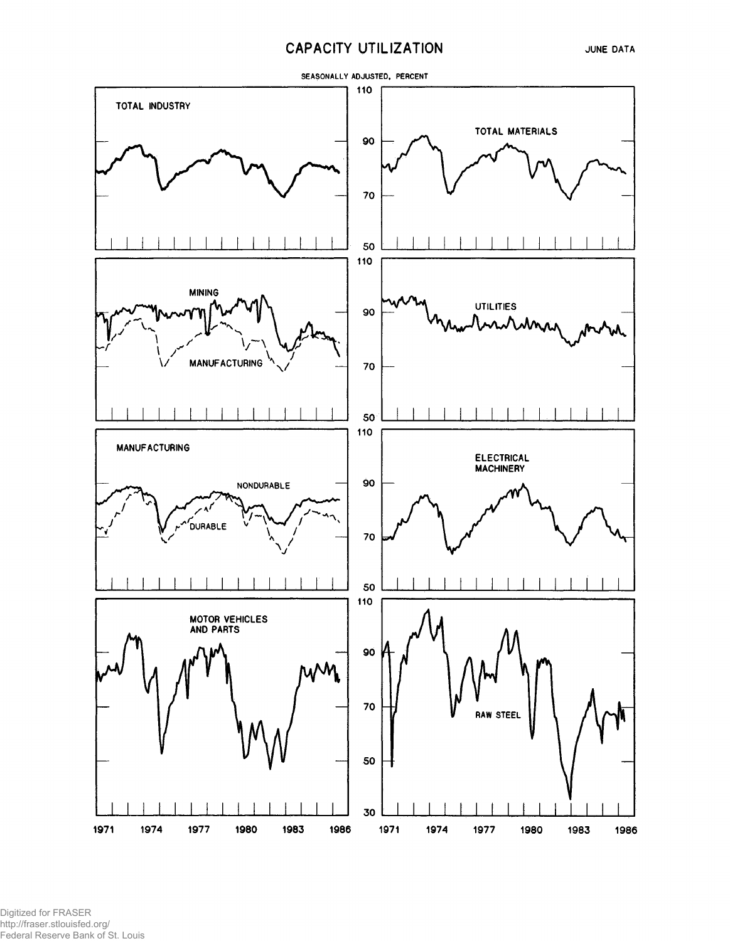### **CAPACITY UTILIZATION**

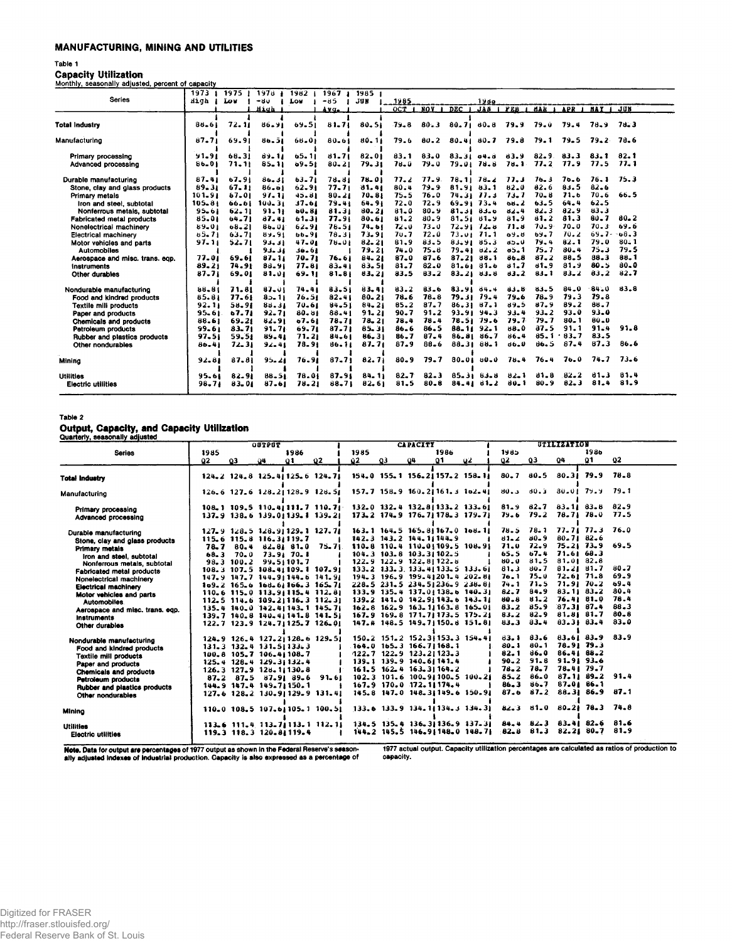#### **MANUFACTURING, MINING AND UTILITIES**

#### Table 1

**Capacity Utilization**<br>Monthly, seasonally adjusted, percent of capacity

|                                  | 1973       | 1975 1    | $1978 +$  | 1982      | 1967      | 1985 1    |          |                  |            |                  |                  |          |          |               |          |
|----------------------------------|------------|-----------|-----------|-----------|-----------|-----------|----------|------------------|------------|------------------|------------------|----------|----------|---------------|----------|
| <b>Series</b>                    | High       | Lov       | -80       | Low       | $-85$     | JUN       | 1985     |                  |            | 1980             |                  |          |          |               |          |
|                                  |            |           | Mich      |           | Avq.      |           | OCT      | NOV <sub>1</sub> | <b>DEC</b> | <b>JAN</b>       | PEB <sub>1</sub> | MAR 1    | APR 1    | <b>MAY 1</b>  | JUN      |
|                                  |            |           |           |           |           |           |          |                  |            |                  |                  |          |          |               |          |
| <b>Total Industry</b>            | 86-61      | 72.11     | 86.91     | 69.51     | $81 - 71$ | 80.51     | 79.8     | $80 - 3$         |            | 80.71.80.8       | 79.9             | 79.0     | 79.4     | 78.9          | 78.3     |
|                                  |            |           |           |           |           |           |          |                  |            |                  |                  |          |          |               |          |
| Manufacturing                    | $87 - 71$  | 69.91     | 80.51     | 66.01     | 80.61     | 80.11     | 79.6     | $80 - 2$         |            | 80.41 80.7       | 79.8             | 79.1     | 79.5     | 79.2          | 78.6     |
|                                  |            |           |           |           |           |           |          |                  |            |                  |                  |          |          |               |          |
| Primary processing               | 91.91      | 68.31     | 89.11     | 65.11     | $81 - 71$ | 82.01     | 83.1     | 83.0             | 83.31 04.8 |                  | 83.9             | $82 - 9$ | 83.3     | 83.1          | 82.1     |
| Advanced processing              | $86 - 01$  | $71 - 11$ | $85 - 11$ | $09 - 51$ | $80 - 21$ | 79.31     | $78 - 0$ | $79 - 0$         |            | 79.01 78.8       | 78.1.            | 77.2     | 77.9     | 77.5          | 77.1     |
|                                  |            |           |           |           |           |           |          |                  |            |                  |                  |          |          |               |          |
| Durable manufacturing            | $87 - 41$  | 67.91     | 80.31     | $63 - 71$ | 78.81     | 78.01     | 77.2     | 77.9.            |            | $78.11$ $78.2$   | 77.3             | 76.3     | 70.6     | 76.1          | 75.3     |
| Stone, clay and glass products   | 89.31      | $67 - 11$ | $86 - 01$ | 62.91     | 77.71     | 81.41     | 80.4     | 79.9             | 81.91.83.1 |                  | 82.0             | 82.6     | 8.1.5    | $82 - 6$      |          |
| Primary metals                   | 161.91     | $67 - 01$ | 97.11     | 45.81     | $80 - 21$ | $70 - 81$ | 75.5     | 76.0             |            | 74.31 77.3       | 73.7             | $70 - 8$ | 71.6     | $70 - 6$      | $66 - 5$ |
| Iron and steel, subtotal         | $105 - 81$ | 66.61     | 100.31    | 37.61     | 79.41     | $64 - 9$  | 72.0     | 72.9             | 69.91 73.4 |                  | 00.2             | $63 - 5$ | $64 - 4$ | $62 - 5$      |          |
| Nonferrous metals, subtotal      | 95.61      | $62 - 11$ | 91.11     | $60 - 81$ | 81.31     | 80.21     | $81 - 0$ | $80 - 9$         |            | $81.31$ $83.0$   | 82.4             | 82.3     | 82.9     | 83.3          |          |
| <b>Fabricated metal products</b> | 85.01      | $64 - 71$ | 87.41     | 61.31     | 77.91     | 80.61     | 81.2     | 80.9             |            | 81.51.81.9       | 81.9             | 81.2     | 81.3     | $80 - 7$      | $80 - 2$ |
| Nonelectrical machinery          | 89.01      | $08 - 21$ | $86 - 01$ | 62.91     | 78.51     | 74.61     | $72 - 0$ | $73 - 0$         |            | 72.91 72.8       | 71.8             | $70 - 9$ | 70.0     | 70.3          | 69.6     |
| <b>Electrical machinery</b>      | 85.71      | $63 - 71$ | 89.91     | 66.91     | 78.31     | 73.91     | 70.7     | 72.0             |            | $73.01$ $71.1$   | 69.8             | 69.7     | 70.2     | $69.7 - 68.3$ |          |
| Motor vehicles and parts         | 97.11      | 52.71     | 93.31     | $47 - 01$ | $76 - 01$ | $82 - 21$ | 81,9     | $83 - 5$         |            | 83.91 85.3       | 65.0             | 79.4     | 82.1     | 79.0          | $80 - 1$ |
| <b>Automobiles</b>               |            |           | 93.31     | 56.61     |           | 79.21     | 74.0     | $75 - 6$         |            | 79.41 82.2       | $0.5 - 1$        | 75.7     | $80 - 4$ | $75 - 3$      | 79.5     |
| Aerospace and misc. trans. eqp.  | 77.01      | 69.61     | $87 - 11$ | 70.71     | 76.61     | 84.21     | $87 - 0$ | 87.6             |            | $87.21$ 88.1     | 86.8             | $87 - 2$ | 88.5     | 88.3          | $88 - 1$ |
| <b>Instruments</b>               | 89.21      | 74.91     | 88.91     | 77.81     | $83 - 41$ | 83.51     | $81 - 7$ | $82 - 0$         |            | 81.6181.6        | $81 - 7$         | 81.9     | 81.9     | 80.5          | 80.0     |
| Other durables                   | $87 - 71$  | 69.01     | 81.01     | 69.11     | $81 - 81$ | 83.21     | 83.5     | $83 - 2$         |            | 83.21 83.8       | 83.2             | $83 - 1$ | $83 - 2$ | 83.2          | 82.7     |
|                                  |            |           |           |           |           |           |          |                  |            |                  |                  |          |          |               |          |
| Nondurable manufacturing         | 88.81      | 71.81     | 87.01     | 74.41     | 83.51     | 83.41     | $83 - 2$ | $83 - 6$         |            | 83.91 84.4       | 83.8             | $83 - 5$ | 84.0     | $-84 - 0$     | 83.8     |
| Food and kindred products        | 85.81      | 77.61     | 85.11     | 76.51     | $82 - 41$ | $80 - 21$ | $78 - 6$ | $78 - 8$         |            | $79.31$ $79.4$   | 79.6             | $78 - 9$ | 79.3     | 79.8          |          |
| <b>Textile mill products</b>     | 92.11      | 58.91     | 84.31     | 70.61     | $84 - 51$ | $84 - 21$ | 85.2     | 87.7             |            | 86.31 87.1       | 89.5             | 87.9     | 89.2     | 88.7          |          |
| Paper and products               | 95.61      | 67.71     | $92 - 71$ | 80.61     | 88.41     | 91.21     | 90.7     | 91.2             |            | $93.91$ $94.3$   | 93.4             | $93 - 2$ | $93 - 0$ | $93 - 0$      |          |
| <b>Chemicals and products</b>    | 88.61      | 69.21     | 82.91     | 07.61     | 78,71     | $78 - 21$ | 78.4     | 78.4             |            | $78.51$ $79.6$   | 79.7             | $79 - 7$ | $80 - 1$ | 80.0          |          |
| Petroleum products               | 99.61      | $33 - 71$ | 91.71     | 69.71     | $87 - 71$ | 85.31     | $86 - 6$ | 86.5             |            | $88.11$ $92.1$   | 88.0             | 37.5     | 91.1     | 91.4          | 91.8     |
| Rubber and plastics products     | $97 - 51$  | 59.51     | 85.41     | 71.21     | 84.61     | $86 - 31$ | $86 - 7$ | $87 - 4$         |            | $86.81$ 86.7     | $86 - 4$         | 85.1     | $83 - 7$ | 83.5          |          |
| Other nondurables                | $80 - 41$  | $72 - 31$ | $92 - 41$ | 78.91     | 86.11     | 87.71     | 87.9     | $88 - 6$         | $88 - 31$  | $88 - 1$         | 66.U             | 86.5     | 87.4     | 87.3          | 86.6     |
|                                  |            |           |           |           |           |           |          |                  |            |                  |                  |          |          |               |          |
| Mining                           | 92.81      | 87.81     | $95 - 21$ | 76.91     | $87 - 71$ | 82.71     | $80 - 9$ | 79.7             |            | $80 - 01 80 - 0$ | $78 - 4$         | $76 - 4$ | 76.0     | $74 - 7$      | $73 - 6$ |
|                                  |            |           |           |           |           |           |          |                  |            |                  |                  |          |          |               |          |
| <b>Utilities</b>                 | 95.61      | 82.91     | $88 - 51$ | 78.01     | 87.91     | $84 - 11$ | $82 - 7$ | $82 - 3$         |            | 85.3163.8        | 82.1             | $81 - 8$ | $82 - 2$ | 81.3          | 81.4     |
| <b>Electric utilities</b>        | $98 - 71$  | 83.01     | 87.61     | $78 - 21$ | 88.71     | 82.61     | 81.5     | $80 - 8$         | 84.41      | 81.2             | 80. 1            | $80 - 9$ | $82 - 3$ | 81.4          | 81.9     |
|                                  |            |           |           |           |           |           |          |                  |            |                  |                  |          |          |               |          |

#### Table 2

## Output, Capacity, and Capacity Utilization<br>Quarterly, seasonally adjusted

|                                                                                      | <b>OUTPUT</b> |                                                             |     |                                                                                           |                                                                                                                      |                                                             | <b>CAPACITY</b> |                                                                                                                   |      |                                                                                                            |                                          |                                      | UTILIZATION                                   |                                                   |                                      |  |  |
|--------------------------------------------------------------------------------------|---------------|-------------------------------------------------------------|-----|-------------------------------------------------------------------------------------------|----------------------------------------------------------------------------------------------------------------------|-------------------------------------------------------------|-----------------|-------------------------------------------------------------------------------------------------------------------|------|------------------------------------------------------------------------------------------------------------|------------------------------------------|--------------------------------------|-----------------------------------------------|---------------------------------------------------|--------------------------------------|--|--|
| <b>Series</b>                                                                        | 1985          |                                                             |     | 1986                                                                                      |                                                                                                                      | 1985                                                        |                 |                                                                                                                   | 1986 |                                                                                                            | 1985                                     |                                      |                                               | 198 <sub>b</sub>                                  |                                      |  |  |
|                                                                                      | 92.           | $\Omega$ 3                                                  | 94. | $\mathbf{Q}$                                                                              | -02                                                                                                                  | Q2.                                                         | -03             | -94                                                                                                               | 01   | -92                                                                                                        | 92                                       | QЗ                                   | 04                                            | Q1                                                | $\mathbf{Q}$                         |  |  |
| <b>Total Industry</b>                                                                |               |                                                             |     |                                                                                           | 124.2 124.8 125.4 125.6 124.71                                                                                       |                                                             |                 |                                                                                                                   |      | 154.0 155.1 156.21157.2 158.11                                                                             | $80 - 7$                                 | 80.5                                 | $80.31$ 79.9                                  |                                                   | 78.8                                 |  |  |
| Manufacturing                                                                        |               |                                                             |     |                                                                                           | 126.6 127.6 128.21128.9 128.51                                                                                       |                                                             |                 |                                                                                                                   |      | 157.7 158.9 160.21161.3 162.41                                                                             | $80 - 3$                                 | 80.3                                 | 80.01 79.9                                    |                                                   | 79.1                                 |  |  |
| Primary processing<br>Advanced processing                                            |               |                                                             |     |                                                                                           | 137.9 138.6 139.01139.1 139.21                                                                                       | 108.1 109.5 110.41111.7 110.7 132.0 132.4 132.8 133.2 133.6 |                 |                                                                                                                   |      | $173.2$ $174.9$ $176.71178.3$ $179.71$                                                                     |                                          | 79.6 79.2 78.71 78.0                 |                                               | $81.9$ $82.7$ $83.11$ $83.8$                      | $82 - 9$<br>77.5                     |  |  |
| Durable manufacturing<br>Stone, clay and glass products<br>Primary metals            |               | 115.6 115.8 116.31119.7                                     |     | 78.7 80.4 82.81 81.0                                                                      | $127.9$ $128.5$ $128.9$ $129.1$ $127.7$<br>75.71                                                                     |                                                             |                 | $142.3$ $143.2$ $144.11144.9$                                                                                     |      | 163.1 164.5 165.81167.0 108.11<br>110.8 110.4 110.01109.5 108.91                                           | $81 - 2$<br>71.0                         | 80.9<br>72.9                         | $80.71$ $82.6$                                | 78.5 78.1 77.71 77.3 76.0<br>$75.21$ $73.9$       | 69.5                                 |  |  |
| Iron and steel, subtotal<br>Nonferrous metals, subtotal<br>Fabricated metal products |               | $68.3$ $70.0$ $73.91$ $70.1$<br>$98.3$ $100.2$ $99.51101.7$ |     |                                                                                           | 108.3 107.5 108.41109.1 107.91                                                                                       |                                                             |                 | 104.3 103.8 103.31102.5<br>122.9 122.9 122.81122.8                                                                |      | 133.2 133.3 133.41133.5 133.61                                                                             | 65.5<br>$80 - 0$<br>81.3                 | $67 - 4$<br>81.5<br>$80 - 7$         | 71.6168.3<br>81.0182.8                        | 81.2181.7                                         | 80.7                                 |  |  |
| Nonelectrical machinery<br><b>Electrical machinery</b><br>Motor vehicles and parts   |               |                                                             |     |                                                                                           | 147.9 147.7 144.91144.6 141.91<br>109.2 165.6 168.61166.3 165.71<br>$110.6$ $115.0$ $113.9$ $115.4$ $112.8$          |                                                             |                 |                                                                                                                   |      | 194.3 196.9 199.41201.4 202.81<br>228.5 231.5 234.51236.9 238.81<br>$133.9$ $135.4$ $137.01138.6$ $140.31$ | $70 - 1$<br>$74 - 1$<br>$82 - 7$         | 75.0<br>71.5<br>84.9                 | $71.9$ $70.2$                                 | $72.61$ $71.8$<br>$83 - 11$ $83 - 2$              | 69.9<br>$69 - 4$<br>30.4             |  |  |
| <b>Automobiles</b><br>Aerospace and misc. trans. eqp.<br><b>Instruments</b>          |               |                                                             |     |                                                                                           | $112.5$ $114.6$ $109.2$ $116.3$ $112.3$<br>135.4 140.0 142.41143.1 145.71<br>$139.7$ $140.8$ $140.4$ $141.8$ $141.5$ |                                                             |                 |                                                                                                                   |      | 139.2 141.0 142.91143.6 143.11<br>162.8 162.9 163.11163.8 165.01<br>167.9 169.8 171.7 173.5 175.21         | $80 - 8$<br>$83 - 2$<br>$83 - 2$<br>83.3 | 81.2<br>85.9<br>$82 - 9$<br>$83 - 4$ | 87.31 87.4                                    | 76.41 81.0<br>$81.81$ $81.7$<br>83.31 83.4        | 78.4<br>88.3<br>$80 - 8$<br>$83 - 0$ |  |  |
| Other durables<br>Nondurable manufacturing                                           |               |                                                             |     |                                                                                           | 122.7 123.9 124.7 125.7 126.01<br>124.9 126.4 127.21128.6 129.51                                                     |                                                             |                 |                                                                                                                   |      | 147.4 148.5 149.7 150.8 151.81<br>150.2 151.2 152.31153.3 154.41                                           | 83.1                                     |                                      |                                               | $83.6$ $83.6$ $83.9$                              | 83.9                                 |  |  |
| Food and kindred products<br><b>Textile mill products</b><br>Paper and products      |               | 126.3 127.9 128.11130.8                                     |     | $131.3$ $132.4$ $131.51133.3$<br>100.8 105.7 106.41108.7<br>$125.4$ $128.4$ $129.31132.4$ |                                                                                                                      |                                                             |                 | 164.0 165.3 166.71168.1<br>$122.7$ 122.9 123.21123.3<br>139.1 139.9 140.61 141.4<br>$161.5$ $162.4$ $163.31164.2$ |      |                                                                                                            | $80 - 1$<br>$82 - 1$<br>$90 - 2$<br>78.2 | $80 - 1$<br>86.0<br>91.8<br>$70 - 7$ | 86.41 88.2<br>$91 - 91$ $93 - 6$<br>78.4179.7 | 78.91 79.3                                        |                                      |  |  |
| <b>Chemicals and products</b><br>Petroleum products<br>Rubber and plastics products  |               |                                                             |     | 144.9 147.4 149.71150.1                                                                   | $87.2$ $87.5$ $87.91$ $89.6$ $91.61$<br>127.6 128.2 130.9  129.9 131.41                                              |                                                             |                 | 167.9 170.0 172.11174.4                                                                                           |      | 102.3 101.6 100.91100.5 100.21<br>145.8 147.0 148.31149.6 150.91                                           | $85 - 2$<br>86.3<br>87.6                 | 86.0<br>86.7<br>$87 - 2$             |                                               | $87.11$ $89.2$ $91.4$<br>87.01 86.1<br>88.31 86.9 | 87.1                                 |  |  |
| Other nondurables<br>Mining                                                          |               |                                                             |     |                                                                                           | 110.0 108.5 107.6/105.1 100.51                                                                                       |                                                             |                 |                                                                                                                   |      | $133.6$ $133.9$ $134.11134.3$ $134.31$                                                                     |                                          |                                      |                                               | 82.3 81.0 80.21 78.3 74.8                         |                                      |  |  |
| <b>Utilities</b><br><b>Electric utilities</b>                                        |               |                                                             |     | 119.3 118.3 120.81119.4                                                                   | 113.6 111.4 113.7/113.1 112.1/                                                                                       |                                                             |                 |                                                                                                                   |      | 134.5 135.4 136.31136.9 137.31<br>144.2 145.5 146.91148.0 148.71                                           | $82 - 8$                                 | 81.3                                 |                                               | 84.4 82.3 83.41 82.6<br>$82.21$ $80.7$            | 81.6<br>81.9                         |  |  |

Note. Data for output are percentages of 1977 output as shown in the Federal Reserve's season-<br>ally adjusted indexes of industrial production. Capacity is also expressed as a percentage of

1977 actual output. Capacity utilization percentages are calculated as ratios of production to capacity.